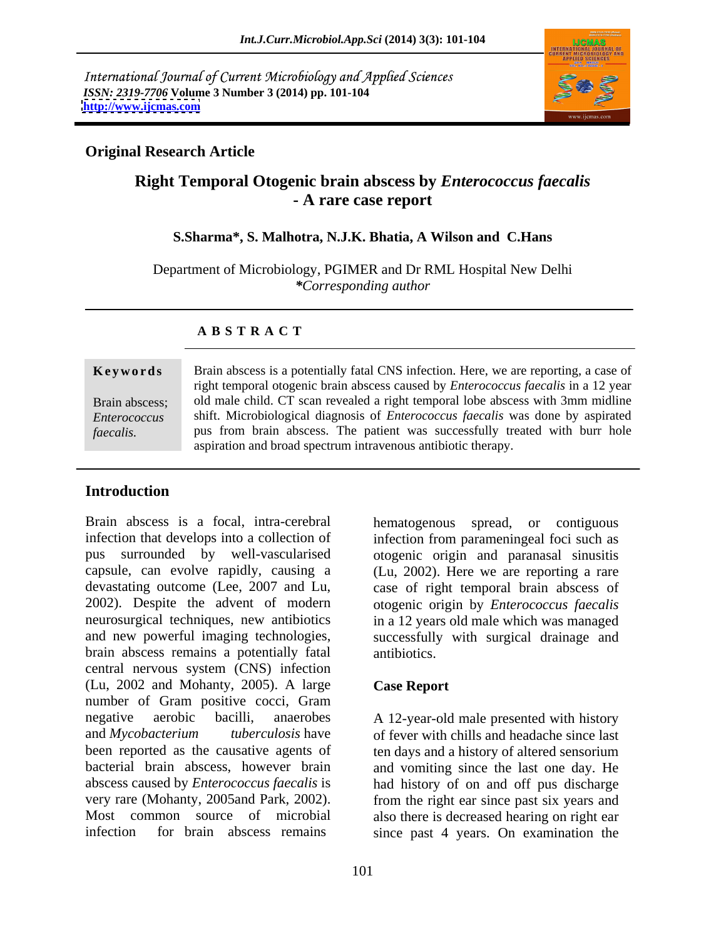International Journal of Current Microbiology and Applied Sciences *ISSN: 2319-7706* **Volume 3 Number 3 (2014) pp. 101-104 <http://www.ijcmas.com>**



## **Original Research Article**

# **Right Temporal Otogenic brain abscess by** *Enterococcus faecalis* **- A rare case report**

## **S.Sharma\*, S. Malhotra, N.J.K. Bhatia, A Wilson and C.Hans**

Department of Microbiology, PGIMER and Dr RML Hospital New Delhi *\*Corresponding author* 

## **A B S T R A C T**

Keywords Brain abscess is a potentially fatal CNS infection. Here, we are reporting, a case of Brain abscess; old male child. CT scan revealed a right temporal lobe abscess with 3mm midline *Enterococcus*  shift. Microbiological diagnosis of *Enterococcus faecalis* was done by aspirated **Fame All Examples 18 associates** Brain abscess is a potentially fatal CNS infection. Here, we are reporting, a case of right temporal otogenic brain abscess caused by *Enterococcus faecalis* in a 12 year old male child. C right temporal otogenic brain abscess caused by *Enterococcus faecalis* in a 12 year pus from brain abscess. The patient was successfully treated with burr hole aspiration and broad spectrum intravenous antibiotic therapy.

## **Introduction**

Brain abscess is a focal, intra-cerebral hematogenous spread, or contiguous infection that develops into a collection of infection from parameningeal foci such as pus surrounded by well-vascularised otogenic origin and paranasal sinusitis capsule, can evolve rapidly, causing a (Lu, 2002). Here we are reporting a rare devastating outcome (Lee, 2007 and Lu, case of right temporal brain abscess of 2002). Despite the advent of modern otogenic origin by *Enterococcus faecalis* neurosurgical techniques, new antibiotics and new powerful imaging technologies, successfully with surgical drainage and brain abscess remains a potentially fatal central nervous system (CNS) infection (Lu, 2002 and Mohanty, 2005). A large number of Gram positive cocci, Gram negative aerobic bacilli, anaerobes A 12-year-old male presented with history and *Mycobacterium tuberculosis* have of fever with chills and headache since last been reported as the causative agents of ten days and a history of altered sensorium bacterial brain abscess, however brain and vomiting since the last one day. He abscess caused by *Enterococcus faecalis* is had history of on and off pus discharge very rare (Mohanty, 2005and Park, 2002). from the right ear since past six years and Most common source of microbial also there is decreased hearing on right ear

in a 12 years old male which was managed antibiotics.

## **Case Report**

infection for brain abscess remains since past 4 years. On examination the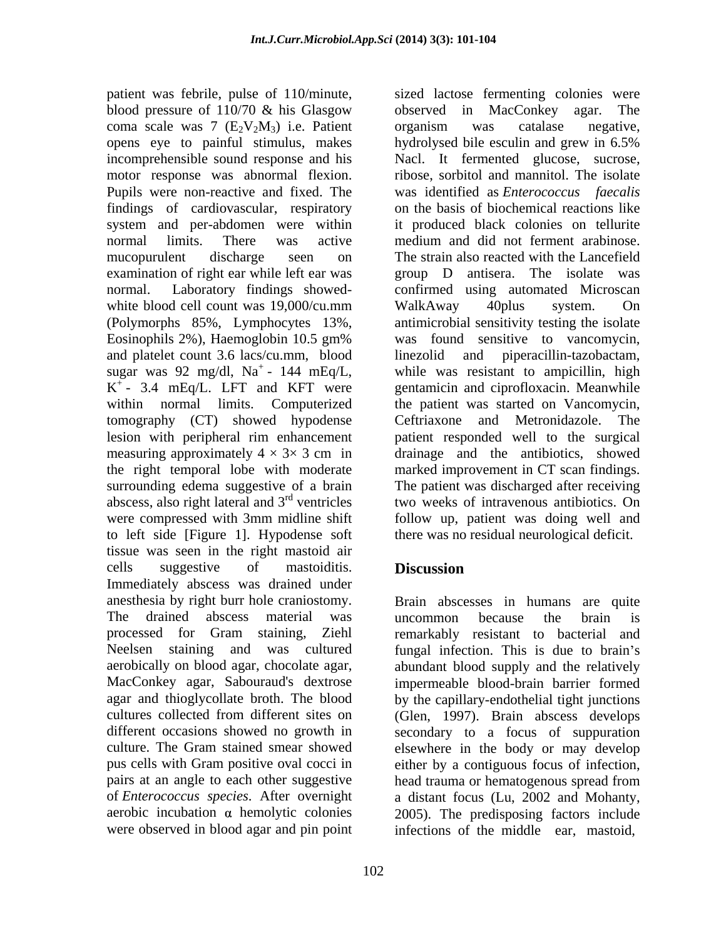blood pressure of 110/70 & his Glasgow bbserved in MacConkey agar. The coma scale was 7  $(E_2V_2M_3)$  i.e. Patient organism was catalase negative, opens eye to painful stimulus, makes by a hydrolysed bile esculin and grew in 6.5% Pupils were non-reactive and fixed. The findings of cardiovascular, respiratory system and per-abdomen were within (Polymorphs 85%, Lymphocytes 13%, and platelet count 3.6 lacs/cu.mm, blood  $K^+$ - 3.4 mEq/L. LFT and KFT were tomography (CT) showed hypodense to left side [Figure 1]. Hypodense soft tissue was seen in the right mastoid air cells suggestive of mastoiditis. **Discussion** Immediately abscess was drained under anesthesia by right burr hole craniostomy. Brain abscesses in humans are quite The drained abscess material was uncommon because the brain is processed for Gram staining, Ziehl Neelsen staining and was cultured fungal infection. This is due to brain's aerobically on blood agar, chocolate agar, abundant blood supply and the relatively MacConkey agar, Sabouraud's dextrose agar and thioglycollate broth. The blood by the capillary-endothelial tight junctions cultures collected from different sites on (Glen, 1997). Brain abscess develops different occasions showed no growth in secondary to a focus of suppuration culture. The Gram stained smear showed elsewhere in the body or may develop pus cells with Gram positive oval cocci in either by a contiguous focus of infection, pairs at an angle to each other suggestive head trauma or hematogenous spread from of *Enterococcus species*. After overnight a distant focus (Lu, 2002 and Mohanty, aerobic incubation  $\alpha$  hemolytic colonies 2005). The predisposing factors include

102

patient was febrile, pulse of 110/minute, sized lactose fermenting colonies were incomprehensible sound response and his Nacl. It fermented glucose, sucrose, motor response was abnormal flexion. ribose, sorbitol and mannitol.The isolate normal limits. There was active medium and did not ferment arabinose. mucopurulent discharge seen on The strain also reacted with the Lancefield examination of right ear while left ear was group D antisera. The isolate was normal. Laboratory findings showed- confirmed using automated Microscan white blood cell count was 19,000/cu.mm WalkAway 40plus system. On Eosinophils 2%), Haemoglobin 10.5 gm% was found sensitive to vancomycin, sugar was 92 mg/dl,  $Na^+$ - 144 mEq/L, while was resistant to ampicillin, high K<sup>+</sup> - 3.4 mEq/L. LFT and KFT were gentamicin and ciprofloxacin. Meanwhile within normal limits. Computerized the patient was started on Vancomycin, lesion with peripheral rim enhancement patient responded well to the surgical measuring approximately  $4 \times 3 \times 3$  cm in drainage and the antibiotics, showed the right temporal lobe with moderate marked improvement in CT scan findings. surrounding edema suggestive of a brain The patient was discharged after receiving abscess, also right lateral and  $3<sup>rd</sup>$  ventricles two weeks of intravenous antibiotics. On were compressed with 3mm midline shift follow up, patient was doing well and observed in MacConkey agar. organism was catalase negative, hydrolysed bile esculin and grew in 6.5% was identified as *Enterococcus faecalis* on the basis of biochemical reactions like it produced black colonies on tellurite WalkAway 40plus system. On antimicrobial sensitivity testing the isolate was found sensitive to vancomycin, linezolid and piperacillin-tazobactam, Ceftriaxone and Metronidazole. there was no residual neurological deficit.

# **Discussion**

were observed in blood agar and pin point infections of the middle ear, mastoid, uncommon because the brain is remarkably resistant to bacterial and impermeable blood-brain barrier formed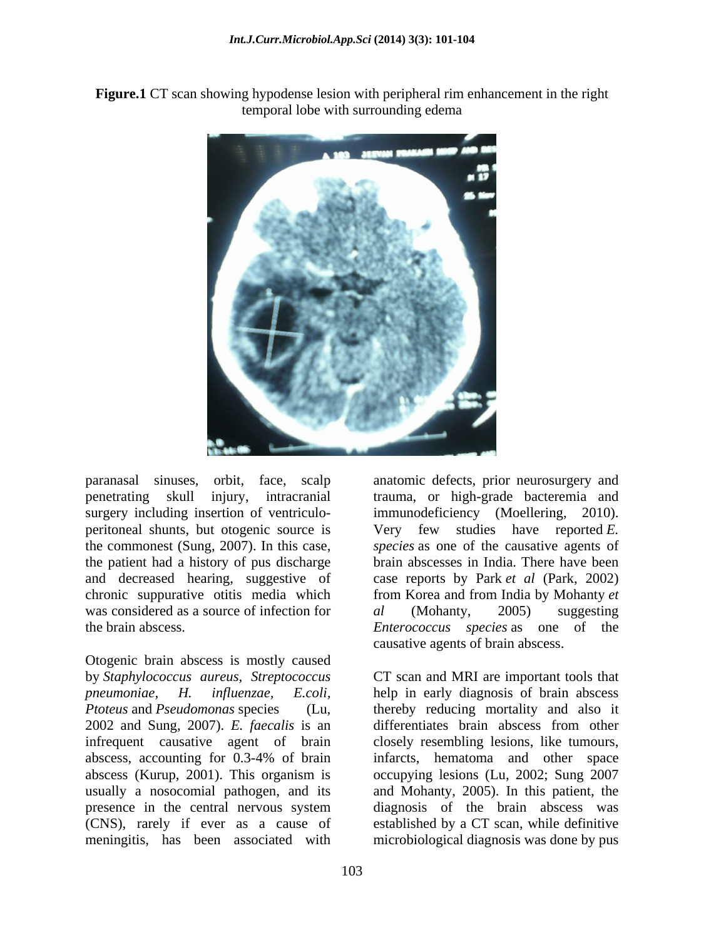**Figure.1** CT scan showing hypodense lesion with peripheral rim enhancement in the right temporal lobe with surrounding edema



paranasal sinuses, orbit, face, scalp anatomic defects, prior neurosurgery and was considered as a source of infection for  $al$  (Mohanty, 2005) suggesting

Otogenic brain abscess is mostly caused by *Staphylococcus aureus, Streptococcus* CT scan and MRI are important tools that *pneumoniae, H. influenzae, E.coli,* help in early diagnosis of brain abscess *Ptoteus* and *Pseudomonas* species (Lu, thereby reducing mortality and also it 2002 and Sung, 2007). *E. faecalis* is an infrequent causative agent of brain abscess, accounting for 0.3-4% of brain abscess (Kurup, 2001). This organism is occupying lesions (Lu, 2002; Sung 2007 usually a nosocomial pathogen, and its and Mohanty, 2005). In this patient, the presence in the central nervous system (CNS), rarely if ever as a cause of established by a CT scan, while definitive meningitis, has been associated with

penetrating skull injury, intracranial trauma, or high-grade bacteremia and surgery including insertion of ventriculo- immunodeficiency (Moellering, 2010). peritoneal shunts, but otogenic source is Very few studies have reported *E.*  the commonest (Sung, 2007). In this case, *species* as one of the causative agents of the patient had a history of pus discharge brain abscesses in India. There have been and decreased hearing, suggestive of case reports by Park *et al* (Park, 2002) chronic suppurative otitis media which from Korea and from India by Mohanty *et*  the brain abscess. The *Enterococcus species* as one of the *al* (Mohanty, 2005) suggesting causative agents of brain abscess.

> differentiates brain abscess from other closely resembling lesions, like tumours, infarcts, hematoma and other space diagnosis of the brain abscess was microbiological diagnosis was done by pus